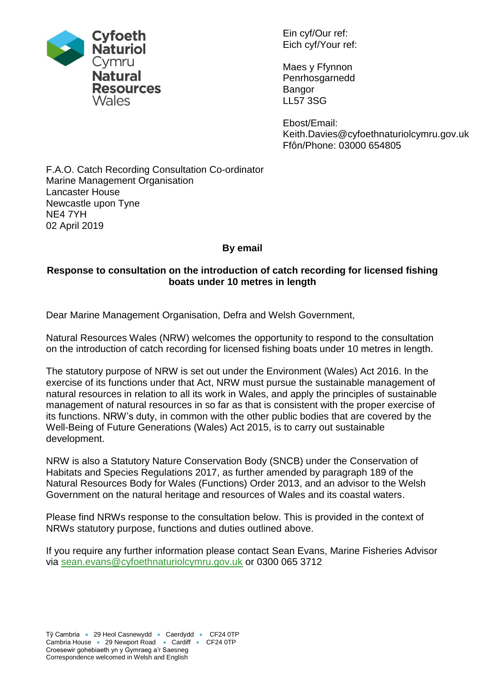

Ein cyf/Our ref: Eich cyf/Your ref:

Maes y Ffynnon Penrhosgarnedd Bangor LL57 3SG

Ebost/Email: Keith.Davies@cyfoethnaturiolcymru.gov.uk Ffôn/Phone: 03000 654805

### F.A.O. Catch Recording Consultation Co-ordinator Marine Management Organisation Lancaster House Newcastle upon Tyne NE4 7YH 02 April 2019

# **By email**

# **Response to consultation on the introduction of catch recording for licensed fishing boats under 10 metres in length**

Dear Marine Management Organisation, Defra and Welsh Government,

Natural Resources Wales (NRW) welcomes the opportunity to respond to the consultation on the introduction of catch recording for licensed fishing boats under 10 metres in length.

The statutory purpose of NRW is set out under the Environment (Wales) Act 2016. In the exercise of its functions under that Act, NRW must pursue the sustainable management of natural resources in relation to all its work in Wales, and apply the principles of sustainable management of natural resources in so far as that is consistent with the proper exercise of its functions. NRW's duty, in common with the other public bodies that are covered by the Well-Being of Future Generations (Wales) Act 2015, is to carry out sustainable development.

NRW is also a Statutory Nature Conservation Body (SNCB) under the Conservation of Habitats and Species Regulations 2017, as further amended by paragraph 189 of the Natural Resources Body for Wales (Functions) Order 2013, and an advisor to the Welsh Government on the natural heritage and resources of Wales and its coastal waters.

Please find NRWs response to the consultation below. This is provided in the context of NRWs statutory purpose, functions and duties outlined above.

If you require any further information please contact Sean Evans, Marine Fisheries Advisor via [sean.evans@cyfoethnaturiolcymru.gov.uk](mailto:sean.evans@cyfoethnaturiolcymru.gov.uk) or 0300 065 3712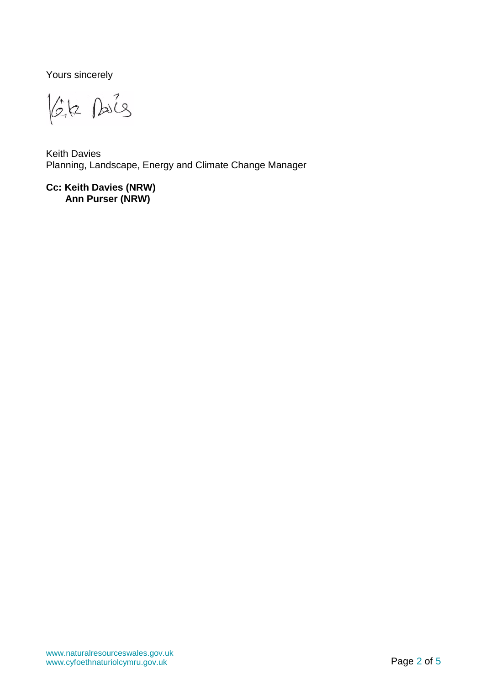Yours sincerely

lék sais

Keith Davies Planning, Landscape, Energy and Climate Change Manager

**Cc: Keith Davies (NRW) Ann Purser (NRW)**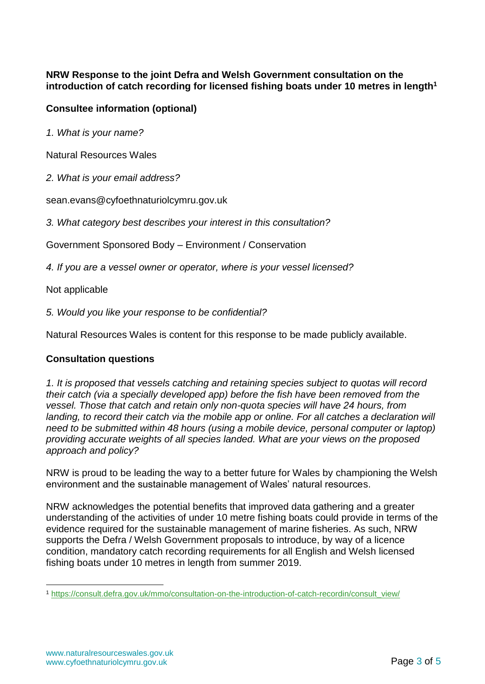#### **NRW Response to the joint Defra and Welsh Government consultation on the introduction of catch recording for licensed fishing boats under 10 metres in length<sup>1</sup>**

## **Consultee information (optional)**

*1. What is your name?*

Natural Resources Wales

*2. What is your email address?*

sean.evans@cyfoethnaturiolcymru.gov.uk

*3. What category best describes your interest in this consultation?*

Government Sponsored Body – Environment / Conservation

*4. If you are a vessel owner or operator, where is your vessel licensed?*

Not applicable

*5. Would you like your response to be confidential?*

Natural Resources Wales is content for this response to be made publicly available.

### **Consultation questions**

*1. It is proposed that vessels catching and retaining species subject to quotas will record their catch (via a specially developed app) before the fish have been removed from the vessel. Those that catch and retain only non-quota species will have 24 hours, from landing, to record their catch via the mobile app or online. For all catches a declaration will need to be submitted within 48 hours (using a mobile device, personal computer or laptop) providing accurate weights of all species landed. What are your views on the proposed approach and policy?*

NRW is proud to be leading the way to a better future for Wales by championing the Welsh environment and the sustainable management of Wales' natural resources.

NRW acknowledges the potential benefits that improved data gathering and a greater understanding of the activities of under 10 metre fishing boats could provide in terms of the evidence required for the sustainable management of marine fisheries. As such, NRW supports the Defra / Welsh Government proposals to introduce, by way of a licence condition, mandatory catch recording requirements for all English and Welsh licensed fishing boats under 10 metres in length from summer 2019.

1

<sup>1</sup> [https://consult.defra.gov.uk/mmo/consultation-on-the-introduction-of-catch-recordin/consult\\_view/](https://consult.defra.gov.uk/mmo/consultation-on-the-introduction-of-catch-recordin/consult_view/)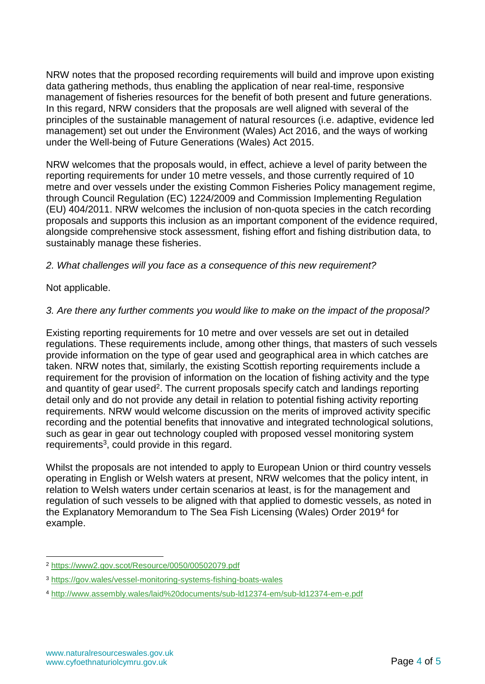NRW notes that the proposed recording requirements will build and improve upon existing data gathering methods, thus enabling the application of near real-time, responsive management of fisheries resources for the benefit of both present and future generations. In this regard, NRW considers that the proposals are well aligned with several of the principles of the sustainable management of natural resources (i.e. adaptive, evidence led management) set out under the Environment (Wales) Act 2016, and the ways of working under the Well-being of Future Generations (Wales) Act 2015.

NRW welcomes that the proposals would, in effect, achieve a level of parity between the reporting requirements for under 10 metre vessels, and those currently required of 10 metre and over vessels under the existing Common Fisheries Policy management regime, through Council Regulation (EC) 1224/2009 and Commission Implementing Regulation (EU) 404/2011. NRW welcomes the inclusion of non-quota species in the catch recording proposals and supports this inclusion as an important component of the evidence required, alongside comprehensive stock assessment, fishing effort and fishing distribution data, to sustainably manage these fisheries.

### *2. What challenges will you face as a consequence of this new requirement?*

Not applicable.

### *3. Are there any further comments you would like to make on the impact of the proposal?*

Existing reporting requirements for 10 metre and over vessels are set out in detailed regulations. These requirements include, among other things, that masters of such vessels provide information on the type of gear used and geographical area in which catches are taken. NRW notes that, similarly, the existing Scottish reporting requirements include a requirement for the provision of information on the location of fishing activity and the type and quantity of gear used<sup>2</sup>. The current proposals specify catch and landings reporting detail only and do not provide any detail in relation to potential fishing activity reporting requirements. NRW would welcome discussion on the merits of improved activity specific recording and the potential benefits that innovative and integrated technological solutions, such as gear in gear out technology coupled with proposed vessel monitoring system  $requ$ irements<sup>3</sup>, could provide in this regard.

Whilst the proposals are not intended to apply to European Union or third country vessels operating in English or Welsh waters at present, NRW welcomes that the policy intent, in relation to Welsh waters under certain scenarios at least, is for the management and regulation of such vessels to be aligned with that applied to domestic vessels, as noted in the Explanatory Memorandum to The Sea Fish Licensing (Wales) Order 2019<sup>4</sup> for example.

<sup>&</sup>lt;u>.</u> <sup>2</sup> <https://www2.gov.scot/Resource/0050/00502079.pdf>

<sup>3</sup> <https://gov.wales/vessel-monitoring-systems-fishing-boats-wales>

<sup>4</sup> <http://www.assembly.wales/laid%20documents/sub-ld12374-em/sub-ld12374-em-e.pdf>